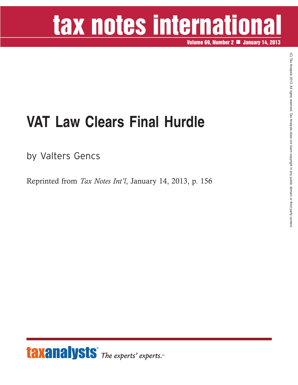## tax notes international

**Volume 69, Number 2 January 14, 2013**

## **VAT Law Clears Final Hurdle**

by Valters Gencs

Reprinted from *Tax Notes Int'l*, January 14, 2013, p. 156